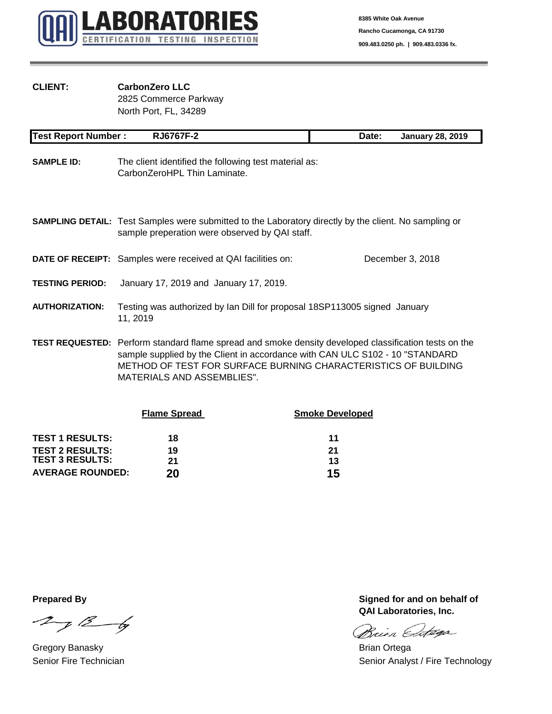

# **CLIENT: CarbonZero LLC**

2825 Commerce Parkway North Port, FL, 34289

| <b>Test Report Number:</b> | <b>RJ6767F-2</b>                                                                                                                                                                              | Date: | <b>January 28, 2019</b> |
|----------------------------|-----------------------------------------------------------------------------------------------------------------------------------------------------------------------------------------------|-------|-------------------------|
| <b>SAMPLE ID:</b>          | The client identified the following test material as:<br>CarbonZeroHPL Thin Laminate.                                                                                                         |       |                         |
|                            | <b>SAMPLING DETAIL:</b> Test Samples were submitted to the Laboratory directly by the client. No sampling or<br>sample preperation were observed by QAI staff.                                |       |                         |
|                            | <b>DATE OF RECEIPT:</b> Samples were received at QAI facilities on:                                                                                                                           |       | December 3, 2018        |
| <b>TESTING PERIOD:</b>     | January 17, 2019 and January 17, 2019.                                                                                                                                                        |       |                         |
| <b>AUTHORIZATION:</b>      | Testing was authorized by Ian Dill for proposal 18SP113005 signed January<br>11, 2019                                                                                                         |       |                         |
|                            | <b>TEST REQUESTED:</b> Perform standard flame spread and smoke density developed classification tests on the<br>sample supplied by the Client in accordance with CAN LILC S102 - 10 "STANDARD |       |                         |

sample supplied by the Client in accordance with CAN ULC S102 - 10 "STANDARD METHOD OF TEST FOR SURFACE BURNING CHARACTERISTICS OF BUILDING MATERIALS AND ASSEMBLIES".

|                         | <b>Flame Spread</b> | <b>Smoke Developed</b> |  |  |
|-------------------------|---------------------|------------------------|--|--|
| <b>TEST 1 RESULTS:</b>  | 18                  | 11                     |  |  |
| <b>TEST 2 RESULTS:</b>  | 19                  | 21                     |  |  |
| <b>TEST 3 RESULTS:</b>  | 21                  | 13                     |  |  |
| <b>AVERAGE ROUNDED:</b> | 20                  | 15                     |  |  |

 $27/26$ 

Gregory Banasky **Brian Ortega** 

**Prepared By Prepared By Signed for and on behalf of QAI Laboratories, Inc.**

Brien Entega

Senior Fire Technician Senior Analyst / Fire Technology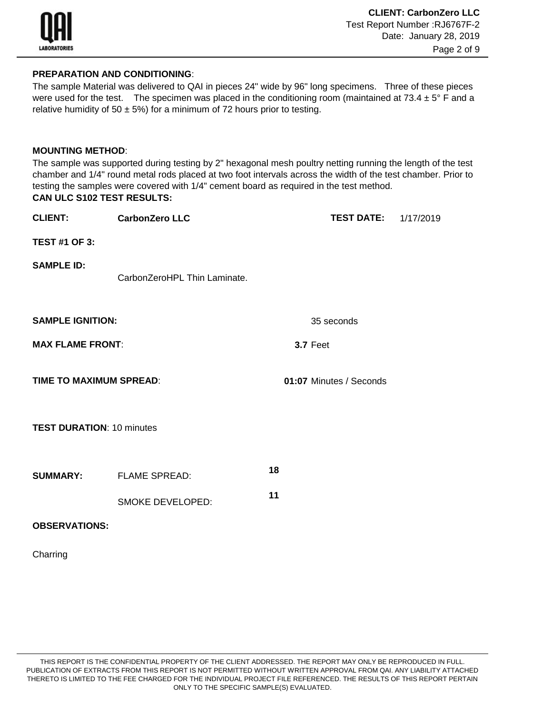

# **PREPARATION AND CONDITIONING**:

The sample Material was delivered to QAI in pieces 24" wide by 96" long specimens. Three of these pieces were used for the test. The specimen was placed in the conditioning room (maintained at  $73.4 \pm 5^{\circ}$  F and a relative humidity of 50  $\pm$  5%) for a minimum of 72 hours prior to testing.

### **MOUNTING METHOD**:

**CAN ULC S102 TEST RESULTS:** The sample was supported during testing by 2" hexagonal mesh poultry netting running the length of the test chamber and 1/4" round metal rods placed at two foot intervals across the width of the test chamber. Prior to testing the samples were covered with 1/4" cement board as required in the test method.

**CLIENT: CarbonZero LLC TEST DATE:** 1/17/2019 **TEST #1 OF 3: SAMPLE ID: SAMPLE IGNITION:** 35 seconds **MAX FLAME FRONT**: **3.7** Feet **TIME TO MAXIMUM SPREAD**: **01:07** Minutes / Seconds **TEST DURATION**: 10 minutes **SUMMARY:** FLAME SPREAD: **<sup>18</sup>** SMOKE DEVELOPED: **<sup>11</sup> OBSERVATIONS:** CarbonZeroHPL Thin Laminate.

Charring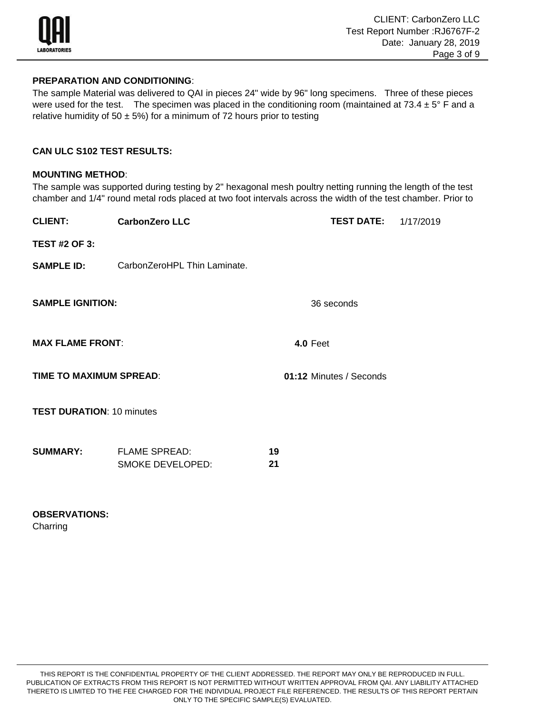

### **PREPARATION AND CONDITIONING**:

The sample Material was delivered to QAI in pieces 24" wide by 96" long specimens. Three of these pieces were used for the test. The specimen was placed in the conditioning room (maintained at  $73.4 \pm 5^{\circ}$  F and a relative humidity of 50  $\pm$  5%) for a minimum of 72 hours prior to testing

# **CAN ULC S102 TEST RESULTS:**

### **MOUNTING METHOD**:

The sample was supported during testing by 2" hexagonal mesh poultry netting running the length of the test chamber and 1/4" round metal rods placed at two foot intervals across the width of the test chamber. Prior to

| <b>CarbonZero LLC</b>                    |          | <b>TEST DATE:</b> 1/17/2019 |  |  |  |
|------------------------------------------|----------|-----------------------------|--|--|--|
|                                          |          |                             |  |  |  |
| CarbonZeroHPL Thin Laminate.             |          |                             |  |  |  |
| <b>SAMPLE IGNITION:</b>                  |          | 36 seconds                  |  |  |  |
| <b>MAX FLAME FRONT:</b>                  |          | <b>4.0 Feet</b>             |  |  |  |
| TIME TO MAXIMUM SPREAD:                  |          | 01:12 Minutes / Seconds     |  |  |  |
| <b>TEST DURATION: 10 minutes</b>         |          |                             |  |  |  |
| <b>FLAME SPREAD:</b><br>SMOKE DEVELOPED: | 19<br>21 |                             |  |  |  |
|                                          |          |                             |  |  |  |

# **OBSERVATIONS:**

**Charring**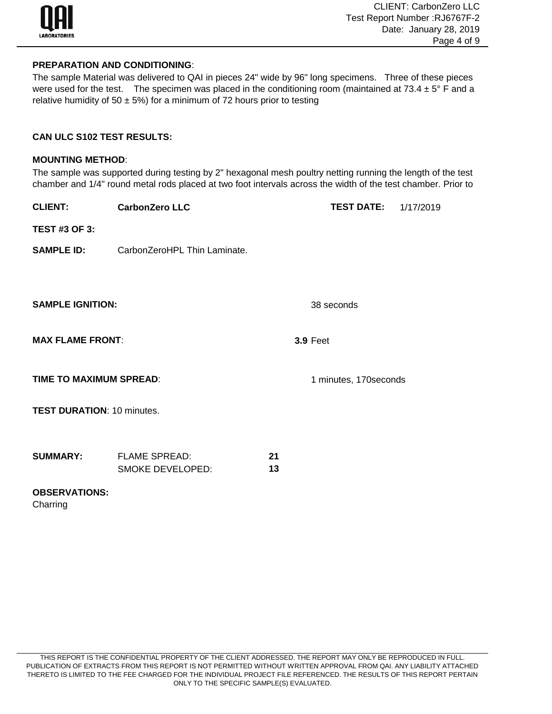

### **PREPARATION AND CONDITIONING**:

The sample Material was delivered to QAI in pieces 24" wide by 96" long specimens. Three of these pieces were used for the test. The specimen was placed in the conditioning room (maintained at  $73.4 \pm 5^{\circ}$  F and a relative humidity of 50  $\pm$  5%) for a minimum of 72 hours prior to testing

## **CAN ULC S102 TEST RESULTS:**

#### **MOUNTING METHOD**:

The sample was supported during testing by 2" hexagonal mesh poultry netting running the length of the test chamber and 1/4" round metal rods placed at two foot intervals across the width of the test chamber. Prior to

| <b>CLIENT:</b>                    | <b>CarbonZero LLC</b>        |    | <b>TEST DATE:</b>      | 1/17/2019 |
|-----------------------------------|------------------------------|----|------------------------|-----------|
| <b>TEST #3 OF 3:</b>              |                              |    |                        |           |
| <b>SAMPLE ID:</b>                 | CarbonZeroHPL Thin Laminate. |    |                        |           |
|                                   |                              |    |                        |           |
|                                   |                              |    |                        |           |
| <b>SAMPLE IGNITION:</b>           |                              |    | 38 seconds             |           |
| <b>MAX FLAME FRONT:</b>           |                              |    | <b>3.9 Feet</b>        |           |
|                                   |                              |    |                        |           |
| <b>TIME TO MAXIMUM SPREAD:</b>    |                              |    | 1 minutes, 170 seconds |           |
| <b>TEST DURATION: 10 minutes.</b> |                              |    |                        |           |
|                                   |                              |    |                        |           |
| <b>SUMMARY:</b>                   | <b>FLAME SPREAD:</b>         | 21 |                        |           |
|                                   | <b>SMOKE DEVELOPED:</b>      | 13 |                        |           |
| <b>OBSERVATIONS:</b><br>Charring  |                              |    |                        |           |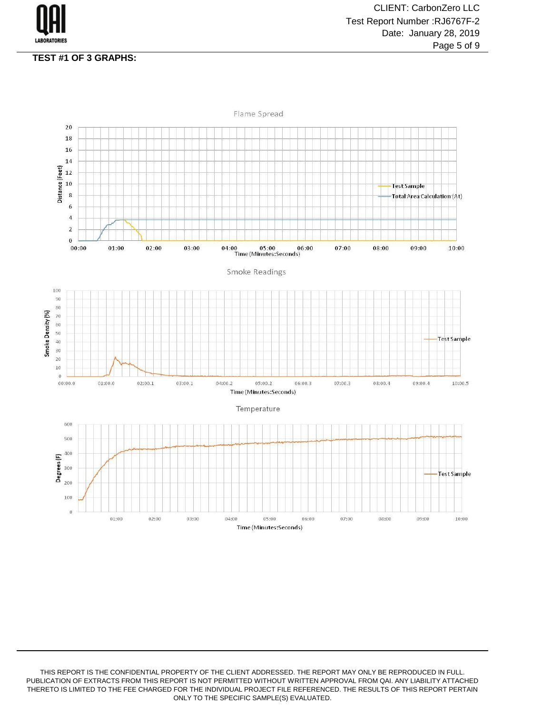

### **TEST #1 OF 3 GRAPHS:**

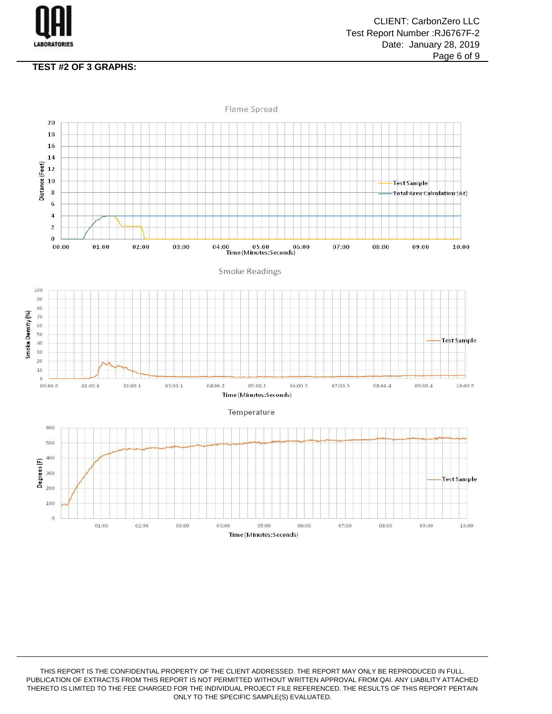

# **TEST #2 OF 3 GRAPHS:**

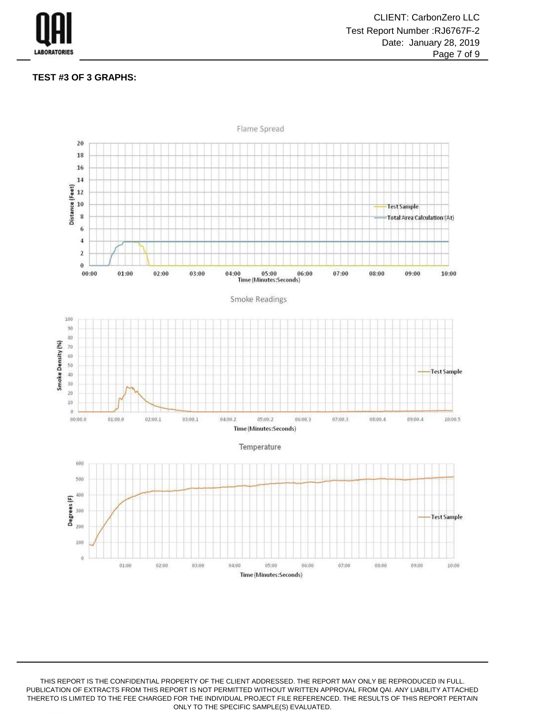

#### **TEST #3 OF 3 GRAPHS:**

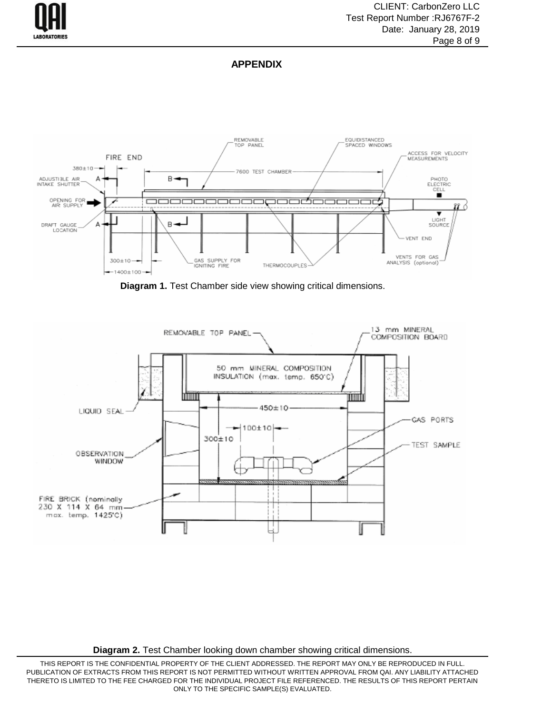

### **APPENDIX**



**Diagram 1.** Test Chamber side view showing critical dimensions.



**Diagram 2.** Test Chamber looking down chamber showing critical dimensions.